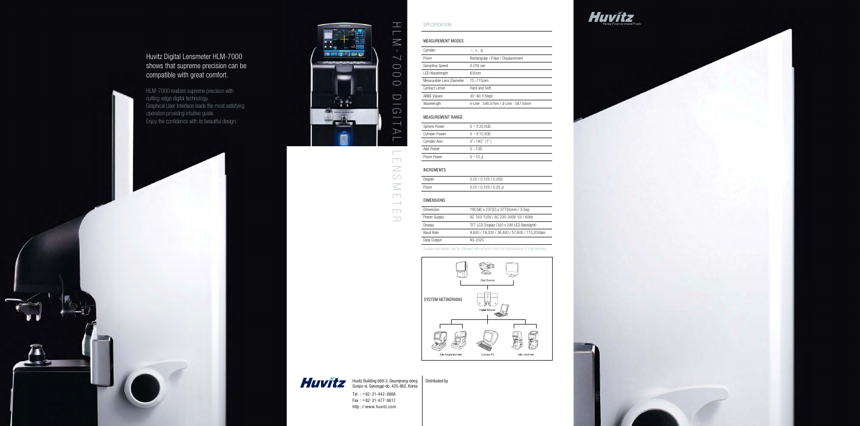#### SPECIFICATION

## MEASUREMENT MODES

| Cylinder                 | $-$ , $+$ , $\pm$                   |
|--------------------------|-------------------------------------|
| Prism                    | Rectangular / Polar / Displacement  |
| Sampling Speed           | $0.016$ sec                         |
| <b>LED Wavelength</b>    | 630nm                               |
| Measurable Lens Diameter | $15 - 115$ mm                       |
| Contact Lense            | Hard and Soft                       |
| <b>ABBE Values</b>       | $30 - 60$ (1Step)                   |
| Wavelength               | e-Line: 546.07nm / d-Line: 587.56nm |
|                          |                                     |

### MEASUREMENT RANGE

| Sphere Power          | $0 - 125.00D$                               |
|-----------------------|---------------------------------------------|
| <b>Cylinder Power</b> | $0 - 10.00D$                                |
| Cylinder Axis         | $0^{\circ}$ ~180 $^{\circ}$ (1 $^{\circ}$ ) |
| Add Power             | $0 - 10D$                                   |
| Prism Power           | $0 - 10 \lambda$                            |
|                       |                                             |

#### INCREMENTS

| opter |  |
|-------|--|
| ism   |  |

| Diopter | 0.01 / 0.125 / 0.25D  |
|---------|-----------------------|
|         |                       |
| Prism   | 0.01 / 0.125 / 0.25 A |

 $\mathcal{L}^{\text{max}}_{\text{max}}$  , where  $\mathcal{L}^{\text{max}}_{\text{max}}$ 

## DIMENSIONS

| Dimension    | 190 (W) x 237 (D) x 377 (H) mm / 5.5 kg       |
|--------------|-----------------------------------------------|
| Power Supply | AC 100-120V / AC 220-240V 50 / 60Hz           |
| Display      | TFT LCD Display (320 x 240 LED Backlight)     |
| Baud Rate    | 9,600 / 19,200 / 38,400 / 57,600 / 115,200bps |
| Data Output  | <b>RS-232C</b>                                |

Huvitz Building 689-3, Geumjeong-dong | Distributed by Gunpo-si, Gyeonggi-do, 435-862, Korea

| Dimension        | 190(W)         |
|------------------|----------------|
| Power Supply     | AC 100-1       |
| Display          | TFT LCD        |
| <b>Baud Rate</b> | 9,600/1        |
| Data Output      | <b>RS-232C</b> |
|                  |                |

Designs and details can be changed without prior notice for the purposes of improvement.



Huvitz Digital Lensmeter HLM-7000 shows that supreme precision can be compatible with great comfort.

HLM-7000 realizes supreme precision with cutting-edge digital technology. Graphical User Interface leads the most satisfying operation providing intuitive guide. Enjoy the confidence with its beautiful design.

 $\rightarrow$ 







Tel : +82-31-442-8868 Fax : +82-31-477-8617 http : // www.huvitz.com



 $\geq$  $\circlearrowright$  $\leq$ 

 $\overline{\phantom{a}}$  $\overline{\phantom{0}}$ 

 $\overline{\Box}$ 

 $\overline{\mathcal{L}}$